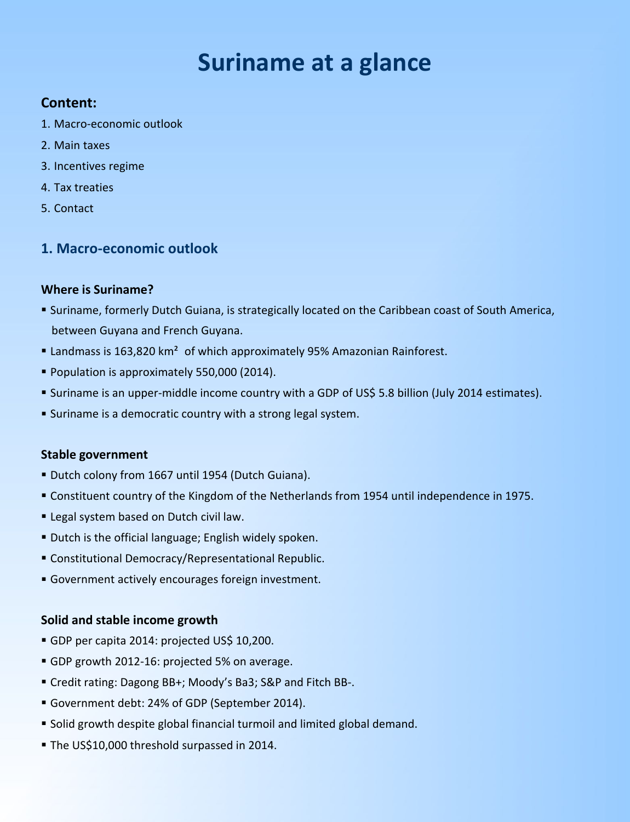# **Suriname at a glance**

# **Content:**

- 1. Macro-economic outlook
- 2. Main taxes
- 3. Incentives regime
- 4. Tax treaties
- 5. Contact

# **1. Macro-economic outlook**

# **Where is Suriname?**

- Suriname, formerly Dutch Guiana, is strategically located on the Caribbean coast of South America, between Guyana and French Guyana.
- Landmass is 163,820 km<sup>2</sup> of which approximately 95% Amazonian Rainforest.
- Population is approximately 550,000 (2014).
- Suriname is an upper-middle income country with a GDP of US\$ 5.8 billion (July 2014 estimates).
- Suriname is a democratic country with a strong legal system.

# **Stable government**

- Dutch colony from 1667 until 1954 (Dutch Guiana).
- Constituent country of the Kingdom of the Netherlands from 1954 until independence in 1975.
- **Example 2 Legal system based on Dutch civil law.**
- Dutch is the official language; English widely spoken.
- Constitutional Democracy/Representational Republic.
- Government actively encourages foreign investment.

# **Solid and stable income growth**

- GDP per capita 2014: projected US\$ 10,200.
- GDP growth 2012-16: projected 5% on average.
- Credit rating: Dagong BB+; Moody's Ba3; S&P and Fitch BB-.
- Government debt: 24% of GDP (September 2014).
- Solid growth despite global financial turmoil and limited global demand.
- The US\$10,000 threshold surpassed in 2014.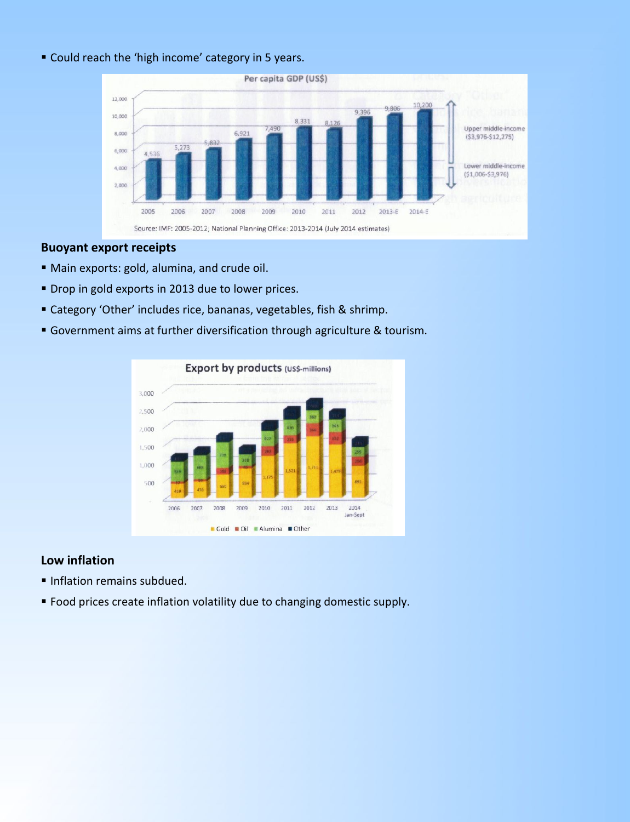#### Could reach the 'high income' category in 5 years.



#### **Buoyant export receipts**

- Main exports: gold, alumina, and crude oil.
- **Drop in gold exports in 2013 due to lower prices.**
- Category 'Other' includes rice, bananas, vegetables, fish & shrimp.
- Government aims at further diversification through agriculture & tourism.



## **Low inflation**

- Inflation remains subdued.
- Food prices create inflation volatility due to changing domestic supply.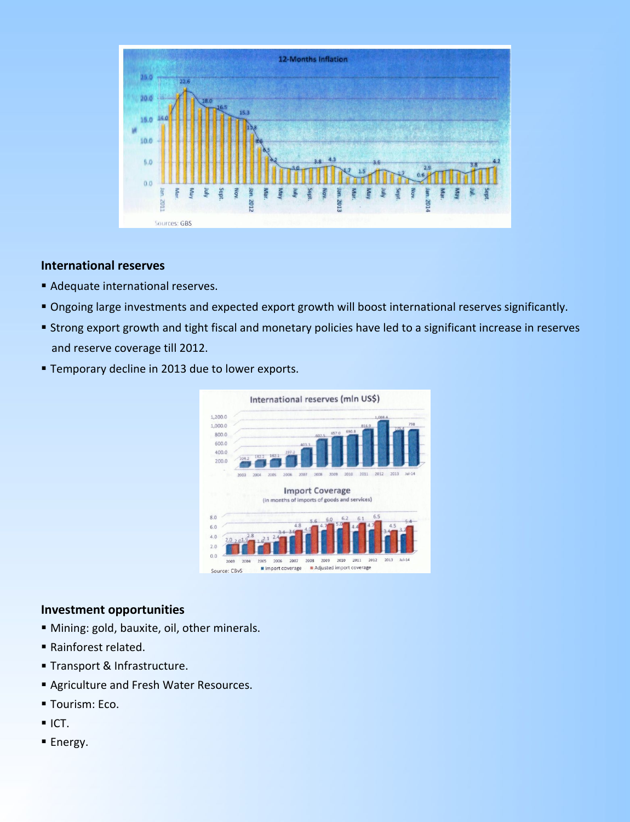

## **International reserves**

- **Adequate international reserves.**
- Ongoing large investments and expected export growth will boost international reserves significantly.
- Strong export growth and tight fiscal and monetary policies have led to a significant increase in reserves and reserve coverage till 2012.
- **Temporary decline in 2013 due to lower exports.**



## **Investment opportunities**

- Mining: gold, bauxite, oil, other minerals.
- Rainforest related.
- **Transport & Infrastructure.**
- Agriculture and Fresh Water Resources.
- **Tourism: Eco.**
- $ICT.$
- **Energy.**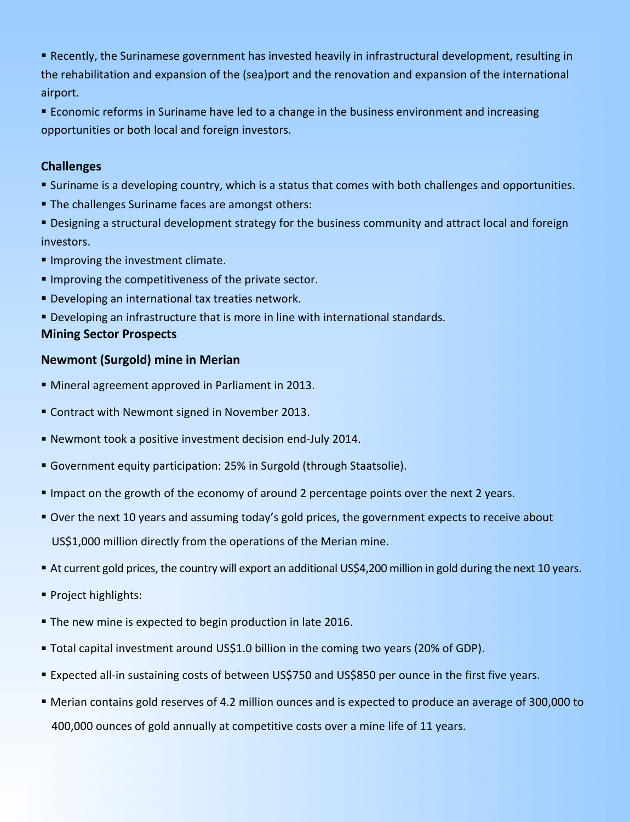Recently, the Surinamese government has invested heavily in infrastructural development, resulting in the rehabilitation and expansion of the (sea)port and the renovation and expansion of the international airport.

 Economic reforms in Suriname have led to a change in the business environment and increasing opportunities or both local and foreign investors.

# **Challenges**

- Suriname is a developing country, which is a status that comes with both challenges and opportunities.
- **The challenges Suriname faces are amongst others:**

 Designing a structural development strategy for the business community and attract local and foreign investors.

- **Improving the investment climate.**
- **Improving the competitiveness of the private sector.**
- Developing an international tax treaties network.
- Developing an infrastructure that is more in line with international standards. **Mining Sector Prospects**

# **Newmont (Surgold) mine in Merian**

- Mineral agreement approved in Parliament in 2013.
- Contract with Newmont signed in November 2013.
- Newmont took a positive investment decision end-July 2014.
- Government equity participation: 25% in Surgold (through Staatsolie).
- Impact on the growth of the economy of around 2 percentage points over the next 2 years.
- Over the next 10 years and assuming today's gold prices, the government expects to receive about US\$1,000 million directly from the operations of the Merian mine.
- At current gold prices, the country will export an additional US\$4,200 million in gold during the next 10 years.
- **Project highlights:**
- The new mine is expected to begin production in late 2016.
- Total capital investment around US\$1.0 billion in the coming two years (20% of GDP).
- Expected all-in sustaining costs of between US\$750 and US\$850 per ounce in the first five years.
- Merian contains gold reserves of 4.2 million ounces and is expected to produce an average of 300,000 to 400,000 ounces of gold annually at competitive costs over a mine life of 11 years.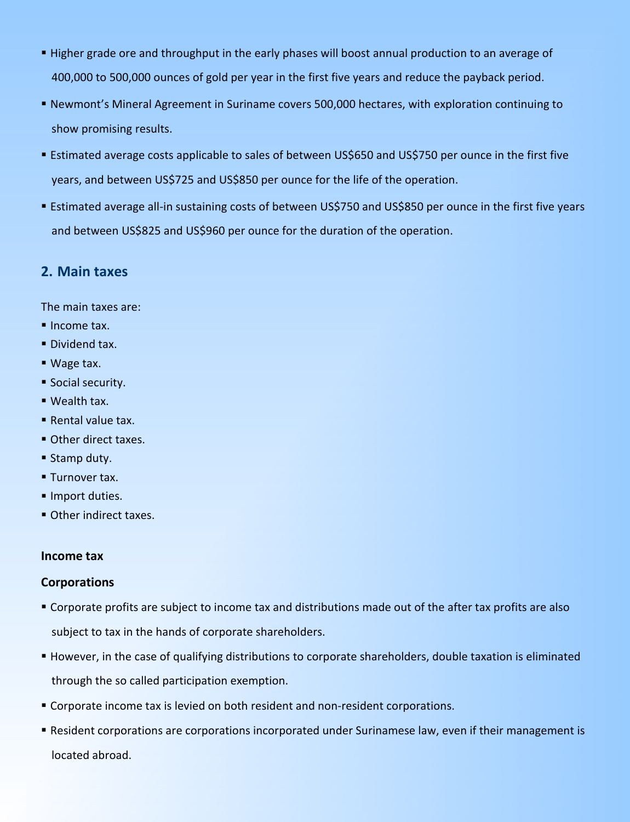- Higher grade ore and throughput in the early phases will boost annual production to an average of 400,000 to 500,000 ounces of gold per year in the first five years and reduce the payback period.
- Newmont's Mineral Agreement in Suriname covers 500,000 hectares, with exploration continuing to show promising results.
- Estimated average costs applicable to sales of between US\$650 and US\$750 per ounce in the first five years, and between US\$725 and US\$850 per ounce for the life of the operation.
- Estimated average all-in sustaining costs of between US\$750 and US\$850 per ounce in the first five years and between US\$825 and US\$960 per ounce for the duration of the operation.

# **2. Main taxes**

The main taxes are:

- Income tax.
- **Dividend tax.**
- Wage tax.
- **Social security.**
- Wealth tax.
- Rental value tax.
- **Other direct taxes.**
- **Stamp duty.**
- **Turnover tax.**
- Import duties.
- **Other indirect taxes.**

#### **Income tax**

## **Corporations**

- Corporate profits are subject to income tax and distributions made out of the after tax profits are also subject to tax in the hands of corporate shareholders.
- However, in the case of qualifying distributions to corporate shareholders, double taxation is eliminated through the so called participation exemption.
- Corporate income tax is levied on both resident and non-resident corporations.
- Resident corporations are corporations incorporated under Surinamese law, even if their management is located abroad.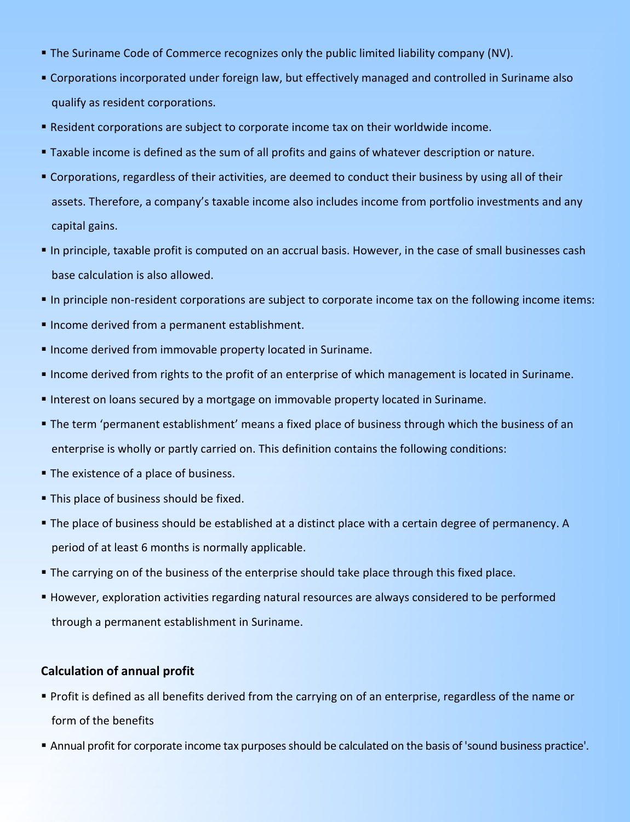- The Suriname Code of Commerce recognizes only the public limited liability company (NV).
- Corporations incorporated under foreign law, but effectively managed and controlled in Suriname also qualify as resident corporations.
- Resident corporations are subject to corporate income tax on their worldwide income.
- Taxable income is defined as the sum of all profits and gains of whatever description or nature.
- Corporations, regardless of their activities, are deemed to conduct their business by using all of their assets. Therefore, a company's taxable income also includes income from portfolio investments and any capital gains.
- In principle, taxable profit is computed on an accrual basis. However, in the case of small businesses cash base calculation is also allowed.
- In principle non-resident corporations are subject to corporate income tax on the following income items:
- Income derived from a permanent establishment.
- Income derived from immovable property located in Suriname.
- Income derived from rights to the profit of an enterprise of which management is located in Suriname.
- Interest on loans secured by a mortgage on immovable property located in Suriname.
- The term 'permanent establishment' means a fixed place of business through which the business of an enterprise is wholly or partly carried on. This definition contains the following conditions:
- The existence of a place of business.
- **This place of business should be fixed.**
- The place of business should be established at a distinct place with a certain degree of permanency. A period of at least 6 months is normally applicable.
- **The carrying on of the business of the enterprise should take place through this fixed place.**
- However, exploration activities regarding natural resources are always considered to be performed through a permanent establishment in Suriname.

# **Calculation of annual profit**

- Profit is defined as all benefits derived from the carrying on of an enterprise, regardless of the name or form of the benefits
- Annual profit for corporate income tax purposes should be calculated on the basis of 'sound business practice'.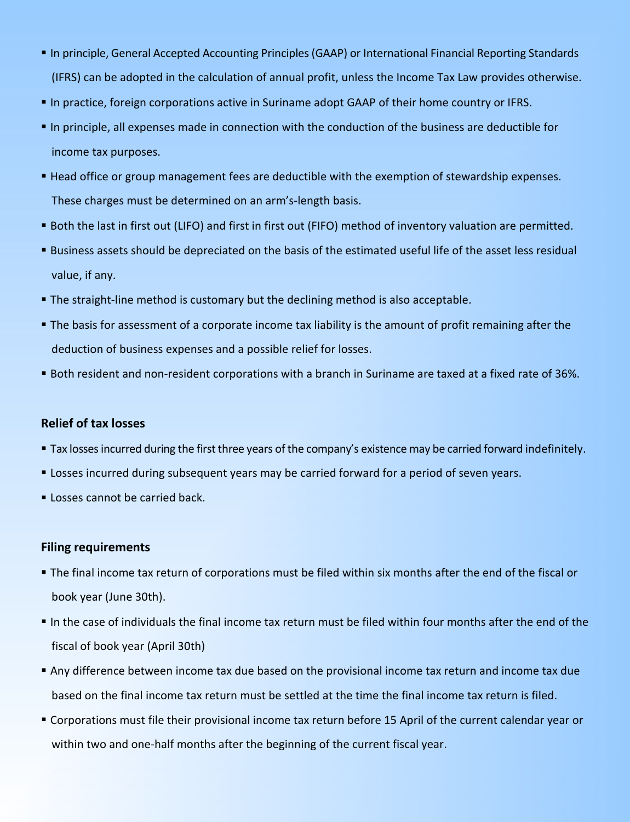- In principle, General Accepted Accounting Principles(GAAP) or International Financial Reporting Standards (IFRS) can be adopted in the calculation of annual profit, unless the Income Tax Law provides otherwise.
- In practice, foreign corporations active in Suriname adopt GAAP of their home country or IFRS.
- In principle, all expenses made in connection with the conduction of the business are deductible for income tax purposes.
- Head office or group management fees are deductible with the exemption of stewardship expenses. These charges must be determined on an arm's-length basis.
- Both the last in first out (LIFO) and first in first out (FIFO) method of inventory valuation are permitted.
- Business assets should be depreciated on the basis of the estimated useful life of the asset less residual value, if any.
- **The straight-line method is customary but the declining method is also acceptable.**
- The basis for assessment of a corporate income tax liability is the amount of profit remaining after the deduction of business expenses and a possible relief for losses.
- Both resident and non-resident corporations with a branch in Suriname are taxed at a fixed rate of 36%.

#### **Relief of tax losses**

- Tax losses incurred during the first three years of the company's existence may be carried forward indefinitely.
- Losses incurred during subsequent years may be carried forward for a period of seven years.
- **Losses cannot be carried back.**

#### **Filing requirements**

- The final income tax return of corporations must be filed within six months after the end of the fiscal or book year(June 30th).
- In the case of individuals the final income tax return must be filed within four months after the end of the fiscal of book year(April 30th)
- Any difference between income tax due based on the provisional income tax return and income tax due based on the final income tax return must be settled at the time the final income tax return is filed.
- Corporations must file their provisional income tax return before 15 April of the current calendar year or within two and one-half months after the beginning of the current fiscal year.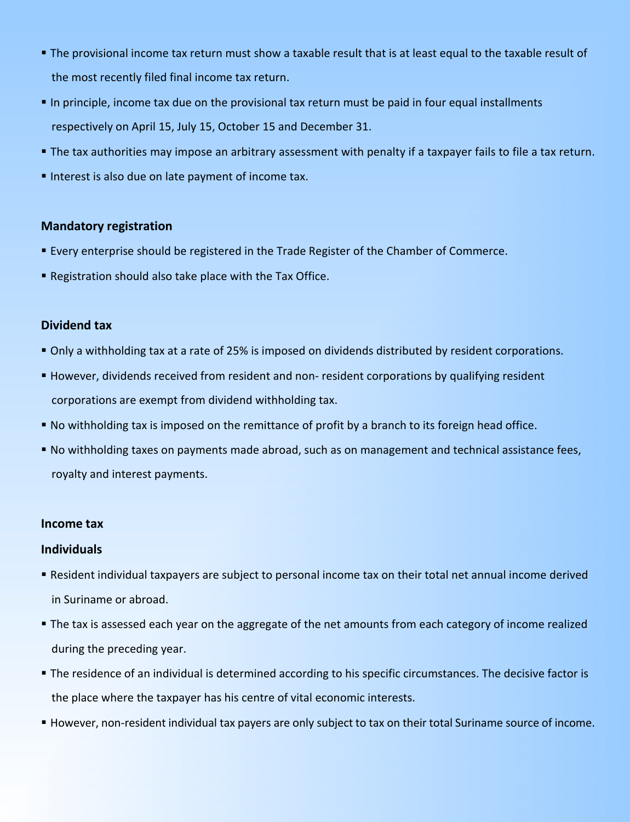- The provisional income tax return must show a taxable result that is at least equal to the taxable result of the most recently filed final income tax return.
- In principle, income tax due on the provisional tax return must be paid in four equal installments respectively on April 15, July 15, October 15 and December 31.
- The tax authorities may impose an arbitrary assessment with penalty if a taxpayer fails to file a tax return.
- Interest is also due on late payment of income tax.

## **Mandatory registration**

- Every enterprise should be registered in the Trade Register of the Chamber of Commerce.
- Registration should also take place with the Tax Office.

## **Dividend tax**

- Only a withholding tax at a rate of 25% is imposed on dividends distributed by resident corporations.
- However, dividends received from resident and non- resident corporations by qualifying resident corporations are exempt from dividend withholding tax.
- No withholding tax isimposed on the remittance of profit by a branch to its foreign head office.
- No withholding taxes on payments made abroad, such as on management and technical assistance fees, royalty and interest payments.

## **Income tax**

## **Individuals**

- Resident individual taxpayers are subject to personal income tax on their total net annual income derived in Suriname or abroad.
- **The tax is assessed each year on the aggregate of the net amounts from each category of income realized** during the preceding year.
- The residence of an individual is determined according to his specific circumstances. The decisive factor is the place where the taxpayer has his centre of vital economic interests.
- However, non-resident individual tax payers are only subject to tax on their total Suriname source of income.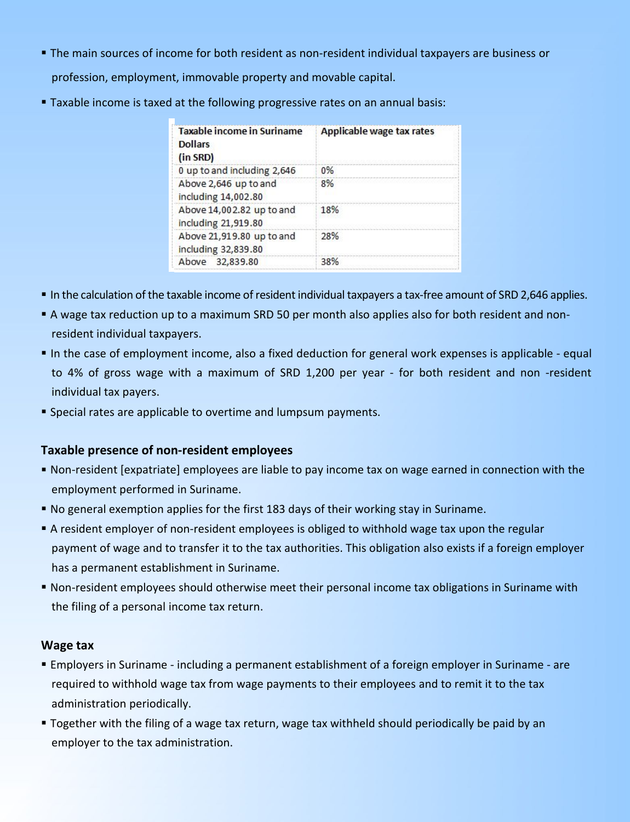- The main sources of income for both resident as non-resident individual taxpayers are business or profession, employment, immovable property and movable capital.
- Taxable income is taxed at the following progressive rates on an annual basis:

| <b>Taxable income in Suriname</b><br><b>Dollars</b><br>(in SRD) | Applicable wage tax rates |
|-----------------------------------------------------------------|---------------------------|
| 0 up to and including 2,646                                     | 0%                        |
| Above 2,646 up to and<br>including 14,002.80                    | 8%                        |
| Above 14,002.82 up to and<br>including 21,919.80                | 18%                       |
| Above 21,919.80 up to and<br>including 32,839.80                | 28%                       |
| Above 32,839.80                                                 | 38%                       |

- In the calculation of the taxable income of resident individual taxpayers a tax-free amount of SRD 2,646 applies.
- A wage tax reduction up to a maximum SRD 50 per month also applies also for both residentand nonresident individual taxpayers.
- In the case of employment income, also a fixed deduction for general work expenses is applicable equal to 4% of gross wage with a maximum of SRD 1,200 per year - for both resident and non -resident individual tax payers.
- Special rates are applicable to overtime and lumpsum payments.

# **Taxable presence of non-resident employees**

- Non-resident [expatriate] employees are liable to pay income tax on wage earned in connection with the employment performed in Suriname.
- No general exemption applies for the first 183 days of their working stay in Suriname.
- A resident employer of non-resident employees is obliged to withhold wage tax upon the regular payment of wage and to transfer it to the tax authorities. This obligation also exists if a foreign employer has a permanent establishment in Suriname.
- Non-resident employees should otherwise meet their personal income tax obligations in Suriname with the filing of a personal income tax return.

# **Wage tax**

- Employers in Suriname including a permanent establishment of a foreign employer in Suriname are required to withhold wage tax from wage payments to their employees and to remit it to the tax administration periodically.
- Together with the filing of a wage tax return, wage tax withheld should periodically be paid by an employer to the tax administration.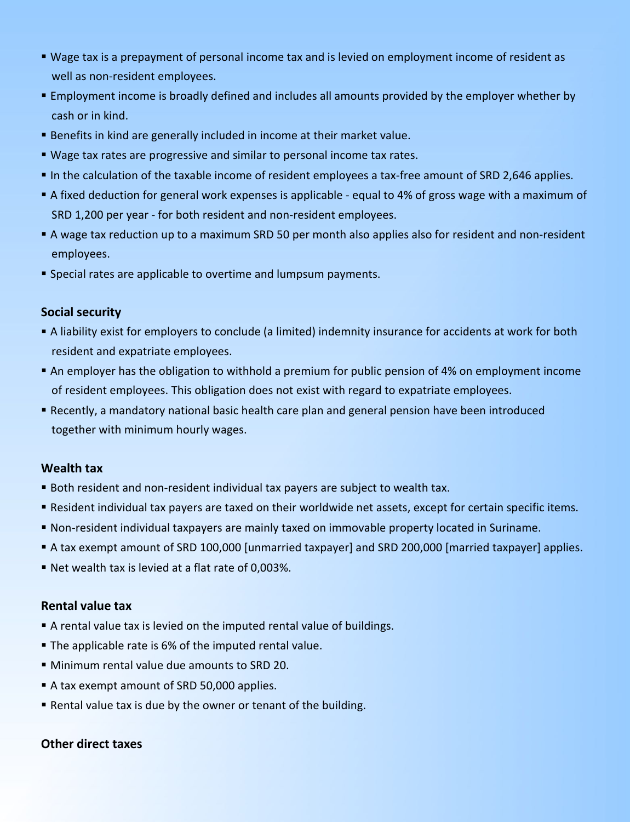- Wage tax is a prepayment of personal income tax and is levied on employment income of resident as well as non-resident employees.
- Employment income is broadly defined and includes all amounts provided by the employer whether by cash or in kind.
- Benefits in kind are generally included in income at their market value.
- Wage tax rates are progressive and similar to personal income tax rates.
- In the calculation of the taxable income of resident employees a tax-free amount of SRD 2,646 applies.
- A fixed deduction for general work expenses is applicable equal to 4% of gross wage with a maximum of SRD 1,200 per year - for both resident and non-resident employees.
- A wage tax reduction up to a maximum SRD 50 per month also applies also for resident and non-resident employees.
- **Special rates are applicable to overtime and lumpsum payments.**

## **Social security**

- A liability exist for employers to conclude (a limited) indemnity insurance for accidents at work for both resident and expatriate employees.
- An employer has the obligation to withhold a premium for public pension of 4% on employment income of resident employees. This obligation does not exist with regard to expatriate employees.
- Recently, a mandatory national basic health care plan and general pension have been introduced together with minimum hourly wages.

# **Wealth tax**

- Both resident and non-resident individual tax payers are subject to wealth tax.
- Resident individual tax payers are taxed on their worldwide net assets, except for certain specific items.
- Non-resident individual taxpayers are mainly taxed on immovable property located in Suriname.
- A tax exempt amount of SRD 100,000 [unmarried taxpayer] and SRD 200,000 [married taxpayer] applies.
- Net wealth tax is levied at a flat rate of 0,003%.

# **Rental value tax**

- A rental value tax is levied on the imputed rental value of buildings.
- The applicable rate is 6% of the imputed rental value.
- Minimum rental value due amounts to SRD 20.
- A tax exempt amount of SRD 50,000 applies.
- Rental value tax is due by the owner or tenant of the building.

# **Other direct taxes**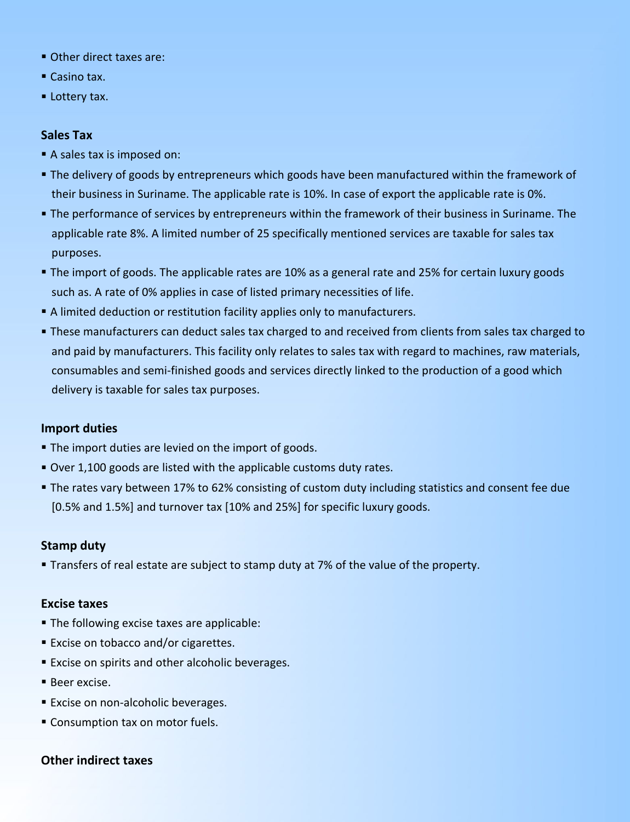- Other direct taxes are:
- Casino tax.
- **Lottery tax.**

## **Sales Tax**

- A sales tax is imposed on:
- The delivery of goods by entrepreneurs which goods have been manufactured within the framework of their business in Suriname. The applicable rate is 10%. In case of export the applicable rate is 0%.
- The performance of services by entrepreneurs within the framework of their business in Suriname. The applicable rate 8%. A limited number of 25 specifically mentioned services are taxable for sales tax purposes.
- The import of goods. The applicable rates are 10% as a general rate and 25% for certain luxury goods such as. A rate of 0% applies in case of listed primary necessities of life.
- A limited deduction or restitution facility applies only to manufacturers.
- **These manufacturers can deduct sales tax charged to and received from clients from sales tax charged to** and paid by manufacturers. This facility only relates to sales tax with regard to machines, raw materials, consumables and semi-finished goods and services directly linked to the production of a good which delivery is taxable for sales tax purposes.

## **Import duties**

- **The import duties are levied on the import of goods.**
- Over 1,100 goods are listed with the applicable customs duty rates.
- The rates vary between 17% to 62% consisting of custom duty including statistics and consent fee due [0.5% and 1.5%] and turnover tax [10% and 25%] for specific luxury goods.

## **Stamp duty**

**Transfers of real estate are subject to stamp duty at 7% of the value of the property.** 

## **Excise taxes**

- **The following excise taxes are applicable:**
- **Excise on tobacco and/or cigarettes.**
- **Excise on spirits and other alcoholic beverages.**
- Beer excise.
- **Excise on non-alcoholic beverages.**
- Consumption tax on motor fuels.

## **Other indirect taxes**